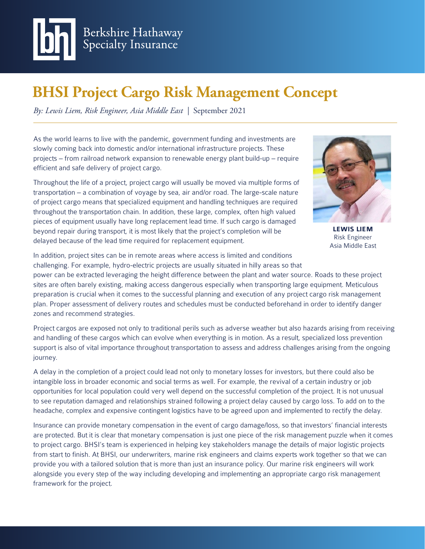

# **BHSI Project Cargo Risk Management Concept**

*By: Lewis Liem, Risk Engineer, Asia Middle East |* September 2021

As the world learns to live with the pandemic, government funding and investments are slowly coming back into domestic and/or international infrastructure projects. These projects – from railroad network expansion to renewable energy plant build-up – require efficient and safe delivery of project cargo.

Throughout the life of a project, project cargo will usually be moved via multiple forms of transportation – a combination of voyage by sea, air and/or road. The large-scale nature of project cargo means that specialized equipment and handling techniques are required throughout the transportation chain. In addition, these large, complex, often high valued pieces of equipment usually have long replacement lead time. If such cargo is damaged beyond repair during transport, it is most likely that the project's completion will be delayed because of the lead time required for replacement equipment.



**LEWIS LIEM** Risk Engineer Asia Middle East

In addition, project sites can be in remote areas where access is limited and conditions challenging. For example, hydro-electric projects are usually situated in hilly areas so that power can be extracted leveraging the height difference between the plant and water source. Roads to these project sites are often barely existing, making access dangerous especially when transporting large equipment. Meticulous preparation is crucial when it comes to the successful planning and execution of any project cargo risk management plan. Proper assessment of delivery routes and schedules must be conducted beforehand in order to identify danger

zones and recommend strategies.

Project cargos are exposed not only to traditional perils such as adverse weather but also hazards arising from receiving and handling of these cargos which can evolve when everything is in motion. As a result, specialized loss prevention support is also of vital importance throughout transportation to assess and address challenges arising from the ongoing journey.

A delay in the completion of a project could lead not only to monetary losses for investors, but there could also be intangible loss in broader economic and social terms as well. For example, the revival of a certain industry or job opportunities for local population could very well depend on the successful completion of the project. It is not unusual to see reputation damaged and relationships strained following a project delay caused by cargo loss. To add on to the headache, complex and expensive contingent logistics have to be agreed upon and implemented to rectify the delay.

Insurance can provide monetary compensation in the event of cargo damage/loss, so that investors' financial interests are protected. But it is clear that monetary compensation is just one piece of the risk management puzzle when it comes to project cargo. BHSI's team is experienced in helping key stakeholders manage the details of major logistic projects from start to finish. At BHSI, our underwriters, marine risk engineers and claims experts work together so that we can provide you with a tailored solution that is more than just an insurance policy. Our marine risk engineers will work alongside you every step of the way including developing and implementing an appropriate cargo risk management framework for the project.